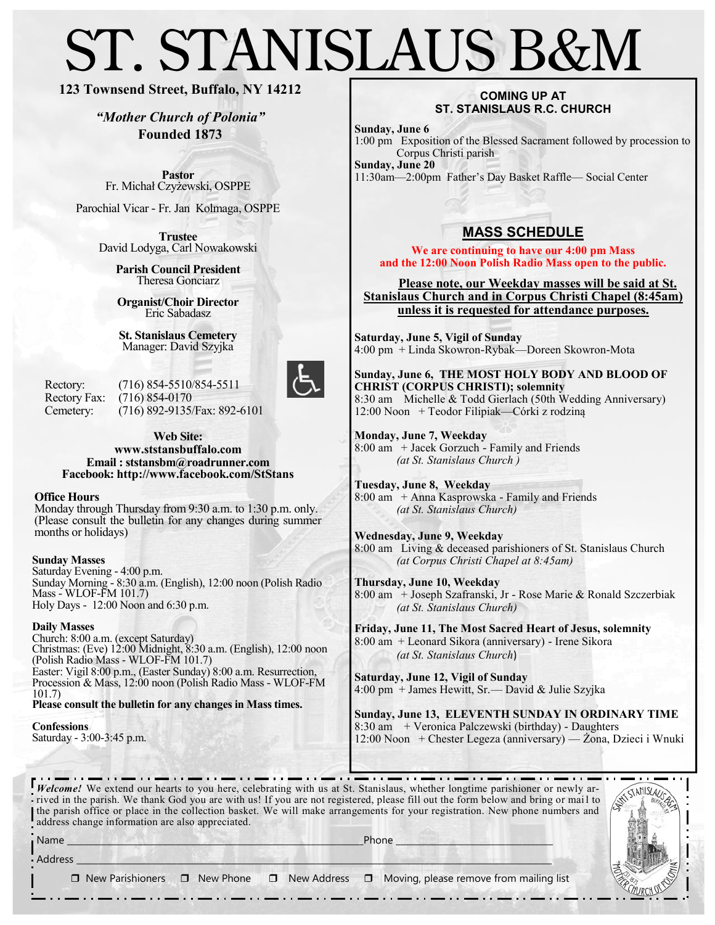# ST. STANISLAUS B&M

### **123 Townsend Street, Buffalo, NY 14212**

*"Mother Church of Polonia"* **Founded 1873**

**Pastor** Fr. Michał Czyżewski, OSPPE

Parochial Vicar - Fr. Jan Kolmaga, OSPPE

**Trustee** David Lodyga, Carl Nowakowski

> **Parish Council President** Theresa Gonciarz

**Organist/Choir Director** Eric Sabadasz

**St. Stanislaus Cemetery** Manager: David Szyjka

Rectory: (716) 854-5510/854-5511 Rectory Fax: (716) 854-0170 Cemetery: (716) 892-9135/Fax: 892-6101



**Web Site: www.ststansbuffalo.com Email : ststansbm@roadrunner.com Facebook: http://www.facebook.com/StStans**

**Office Hours**

Monday through Thursday from 9:30 a.m. to 1:30 p.m. only. (Please consult the bulletin for any changes during summer months or holidays)

#### **Sunday Masses**

Saturday Evening - 4:00 p.m. Sunday Morning - 8:30 a.m. (English), 12:00 noon (Polish Radio Mass - WLOF-FM 101.7) Holy Days - 12:00 Noon and 6:30 p.m.

#### **Daily Masses**

Church: 8:00 a.m. (except Saturday) Christmas: (Eve) 12:00 Midnight, 8:30 a.m. (English), 12:00 noon (Polish Radio Mass - WLOF-FM 101.7) Easter: Vigil 8:00 p.m., (Easter Sunday) 8:00 a.m. Resurrection, Procession & Mass, 12:00 noon (Polish Radio Mass - WLOF-FM 101.7)

. . . <del>. .</del> . . <del>. .</del> . . <del>. .</del> . . .

**Please consult the bulletin for any changes in Mass times.**

**Confessions** Saturday - 3:00-3:45 p.m.

#### **COMING UP AT ST. STANISLAUS R.C. CHURCH**

**Sunday, June 6**

1:00 pm Exposition of the Blessed Sacrament followed by procession to Corpus Christi parish **Sunday, June 20**

11:30am—2:00pm Father's Day Basket Raffle— Social Center

## **MASS SCHEDULE**

**We are continuing to have our 4:00 pm Mass and the 12:00 Noon Polish Radio Mass open to the public.** 

 **Please note, our Weekday masses will be said at St. Stanislaus Church and in Corpus Christi Chapel (8:45am) unless it is requested for attendance purposes.** 

**Saturday, June 5, Vigil of Sunday** 4:00 pm + Linda Skowron-Rybak—Doreen Skowron-Mota

**Sunday, June 6, THE MOST HOLY BODY AND BLOOD OF CHRIST (CORPUS CHRISTI); solemnity** 8:30 am Michelle & Todd Gierlach (50th Wedding Anniversary) 12:00 Noon + Teodor Filipiak—Córki z rodziną

**Monday, June 7, Weekday** 8:00 am + Jacek Gorzuch - Family and Friends *(at St. Stanislaus Church )*

**Tuesday, June 8, Weekday**  8:00 am + Anna Kasprowska - Family and Friends *(at St. Stanislaus Church)* 

**Wednesday, June 9, Weekday** 8:00 am Living & deceased parishioners of St. Stanislaus Church *(at Corpus Christi Chapel at 8:45am)* 

**Thursday, June 10, Weekday** 8:00 am + Joseph Szafranski, Jr - Rose Marie & Ronald Szczerbiak *(at St. Stanislaus Church)*

**Friday, June 11, The Most Sacred Heart of Jesus, solemnity**  8:00 am + Leonard Sikora (anniversary) - Irene Sikora *(at St. Stanislaus Church*)

**Saturday, June 12, Vigil of Sunday** 4:00 pm + James Hewitt, Sr.— David & Julie Szyjka

**Sunday, June 13, ELEVENTH SUNDAY IN ORDINARY TIME** 8:30 am + Veronica Palczewski (birthday) - Daughters 12:00 Noon + Chester Legeza (anniversary) — Żona, Dzieci i Wnuki

 $\cdots$   $\cdots$  $\cdots$ - 114 . . . . *Welcome!* We extend our hearts to you here, celebrating with us at St. Stanislaus, whether longtime parishioner or newly arrived in the parish. We thank God you are with us! If you are not registered, please fill out the form below and bring or mail to the parish office or place in the collection basket. We will make arrangements for your registration. New phone numbers and address change information are also appreciated.



 $\operatorname{\mathsf{Address}}\_$  $\Box$  New Parishioners  $\Box$  New Phone  $\Box$  New Address  $\Box$  Moving, please remove from mailing list

Name \_\_\_\_\_\_\_\_\_\_\_\_\_\_\_\_\_\_\_\_\_\_\_\_\_\_\_\_\_\_\_\_\_\_\_\_\_\_\_\_\_\_\_\_\_\_\_\_\_\_\_\_\_\_\_\_\_\_\_\_\_\_\_\_\_\_\_\_Phone \_\_\_\_\_\_\_\_\_\_\_\_\_\_\_\_\_\_\_\_\_\_\_\_\_\_\_\_\_\_\_\_\_\_\_\_